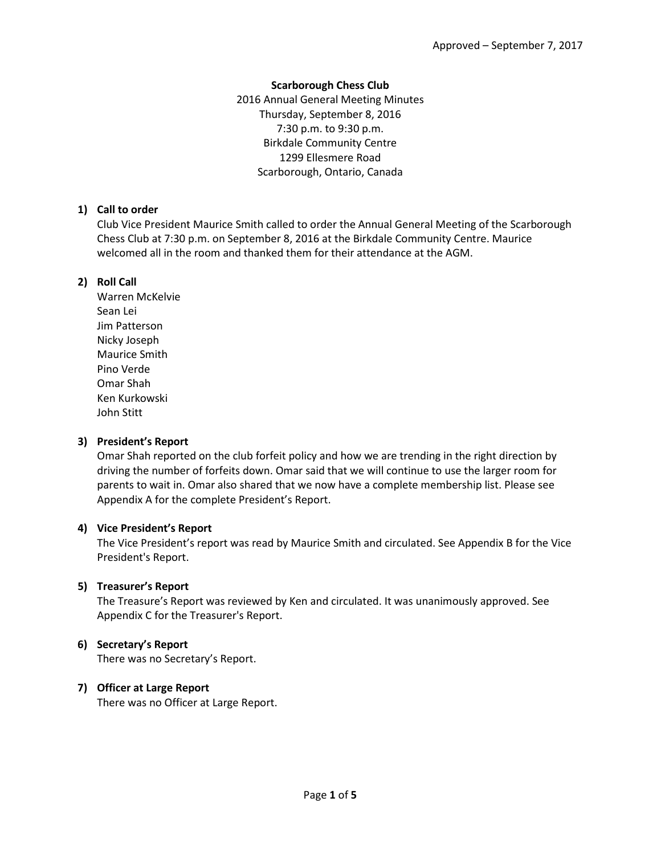## **Scarborough Chess Club**

2016 Annual General Meeting Minutes Thursday, September 8, 2016 7:30 p.m. to 9:30 p.m. Birkdale Community Centre 1299 Ellesmere Road Scarborough, Ontario, Canada

## **1) Call to order**

Club Vice President Maurice Smith called to order the Annual General Meeting of the Scarborough Chess Club at 7:30 p.m. on September 8, 2016 at the Birkdale Community Centre. Maurice welcomed all in the room and thanked them for their attendance at the AGM.

## **2) Roll Call**

Warren McKelvie Sean Lei Jim Patterson Nicky Joseph Maurice Smith Pino Verde Omar Shah Ken Kurkowski John Stitt

## **3) President's Report**

Omar Shah reported on the club forfeit policy and how we are trending in the right direction by driving the number of forfeits down. Omar said that we will continue to use the larger room for parents to wait in. Omar also shared that we now have a complete membership list. Please see Appendix A for the complete President's Report.

## **4) Vice President's Report**

The Vice President's report was read by Maurice Smith and circulated. See Appendix B for the Vice President's Report.

# **5) Treasurer's Report**

The Treasure's Report was reviewed by Ken and circulated. It was unanimously approved. See Appendix C for the Treasurer's Report.

# **6) Secretary's Report**

There was no Secretary's Report.

## **7) Officer at Large Report**

There was no Officer at Large Report.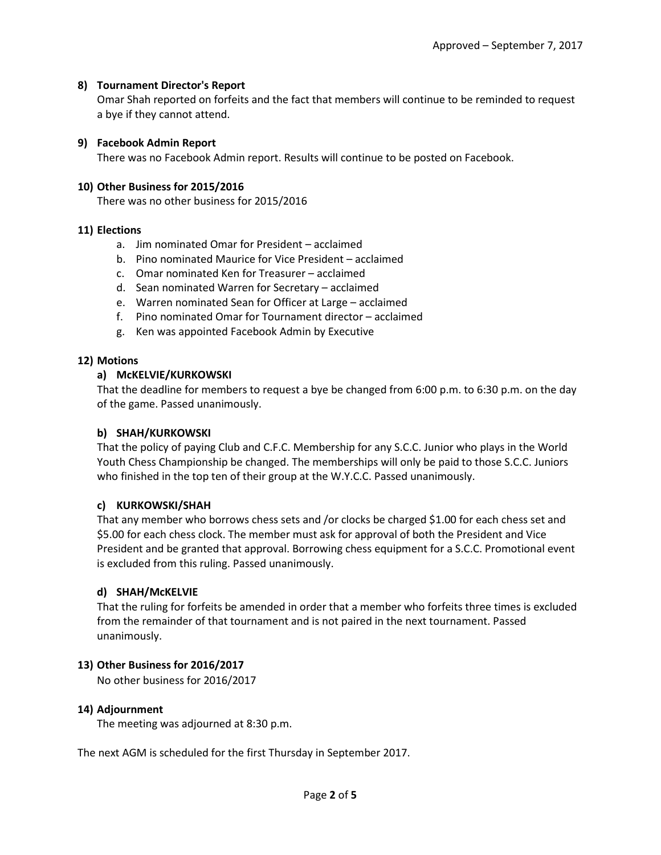## **8) Tournament Director's Report**

Omar Shah reported on forfeits and the fact that members will continue to be reminded to request a bye if they cannot attend.

#### **9) Facebook Admin Report**

There was no Facebook Admin report. Results will continue to be posted on Facebook.

#### **10) Other Business for 2015/2016**

There was no other business for 2015/2016

#### **11) Elections**

- a. Jim nominated Omar for President acclaimed
- b. Pino nominated Maurice for Vice President acclaimed
- c. Omar nominated Ken for Treasurer acclaimed
- d. Sean nominated Warren for Secretary acclaimed
- e. Warren nominated Sean for Officer at Large acclaimed
- f. Pino nominated Omar for Tournament director acclaimed
- g. Ken was appointed Facebook Admin by Executive

#### **12) Motions**

#### **a) McKELVIE/KURKOWSKI**

That the deadline for members to request a bye be changed from 6:00 p.m. to 6:30 p.m. on the day of the game. Passed unanimously.

#### **b) SHAH/KURKOWSKI**

That the policy of paying Club and C.F.C. Membership for any S.C.C. Junior who plays in the World Youth Chess Championship be changed. The memberships will only be paid to those S.C.C. Juniors who finished in the top ten of their group at the W.Y.C.C. Passed unanimously.

## **c) KURKOWSKI/SHAH**

That any member who borrows chess sets and /or clocks be charged \$1.00 for each chess set and \$5.00 for each chess clock. The member must ask for approval of both the President and Vice President and be granted that approval. Borrowing chess equipment for a S.C.C. Promotional event is excluded from this ruling. Passed unanimously.

#### **d) SHAH/McKELVIE**

That the ruling for forfeits be amended in order that a member who forfeits three times is excluded from the remainder of that tournament and is not paired in the next tournament. Passed unanimously.

## **13) Other Business for 2016/2017**

No other business for 2016/2017

#### **14) Adjournment**

The meeting was adjourned at 8:30 p.m.

The next AGM is scheduled for the first Thursday in September 2017.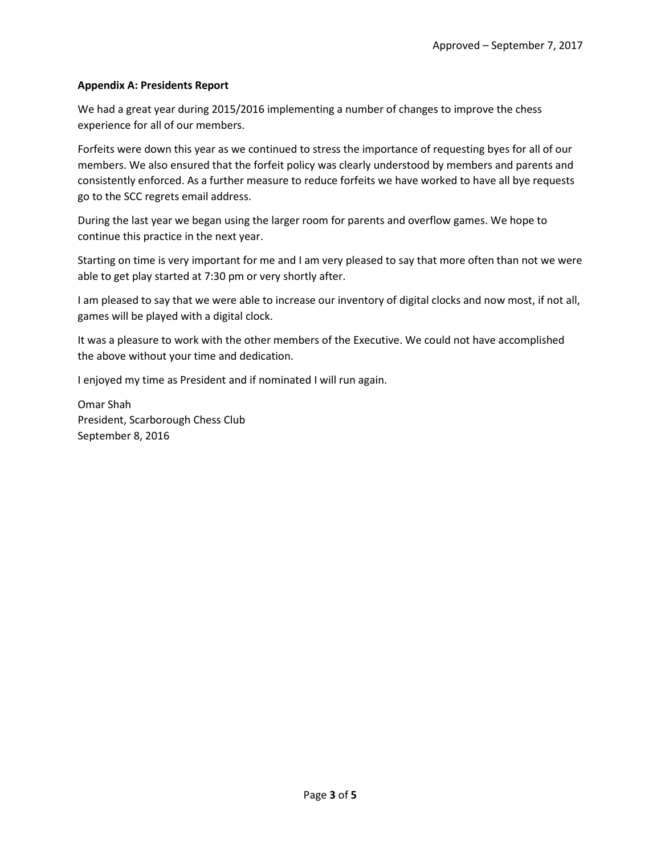## **Appendix A: Presidents Report**

We had a great year during 2015/2016 implementing a number of changes to improve the chess experience for all of our members.

Forfeits were down this year as we continued to stress the importance of requesting byes for all of our members. We also ensured that the forfeit policy was clearly understood by members and parents and consistently enforced. As a further measure to reduce forfeits we have worked to have all bye requests go to the SCC regrets email address.

During the last year we began using the larger room for parents and overflow games. We hope to continue this practice in the next year.

Starting on time is very important for me and I am very pleased to say that more often than not we were able to get play started at 7:30 pm or very shortly after.

I am pleased to say that we were able to increase our inventory of digital clocks and now most, if not all, games will be played with a digital clock.

It was a pleasure to work with the other members of the Executive. We could not have accomplished the above without your time and dedication.

I enjoyed my time as President and if nominated I will run again.

Omar Shah President, Scarborough Chess Club September 8, 2016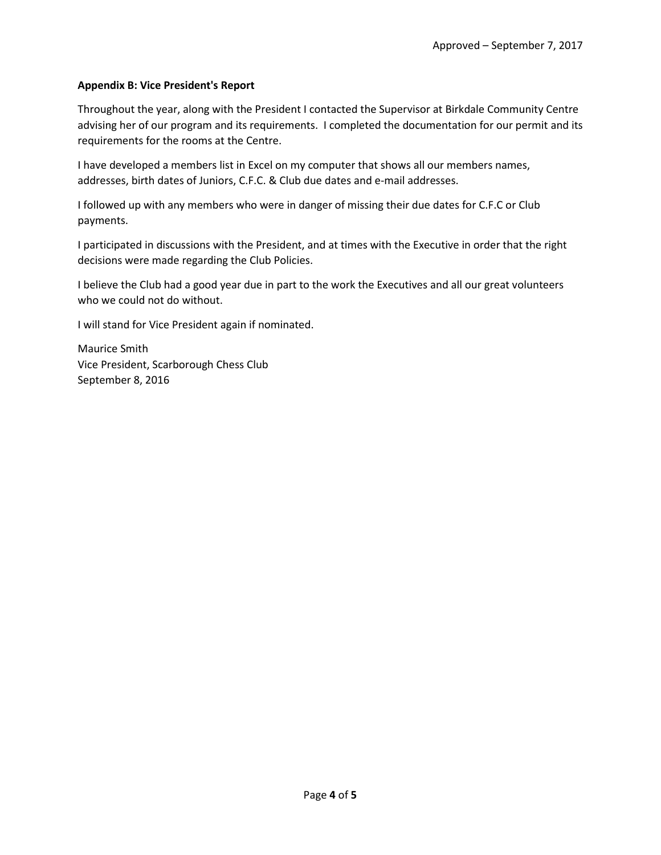## **Appendix B: Vice President's Report**

Throughout the year, along with the President I contacted the Supervisor at Birkdale Community Centre advising her of our program and its requirements. I completed the documentation for our permit and its requirements for the rooms at the Centre.

I have developed a members list in Excel on my computer that shows all our members names, addresses, birth dates of Juniors, C.F.C. & Club due dates and e-mail addresses.

I followed up with any members who were in danger of missing their due dates for C.F.C or Club payments.

I participated in discussions with the President, and at times with the Executive in order that the right decisions were made regarding the Club Policies.

I believe the Club had a good year due in part to the work the Executives and all our great volunteers who we could not do without.

I will stand for Vice President again if nominated.

Maurice Smith Vice President, Scarborough Chess Club September 8, 2016